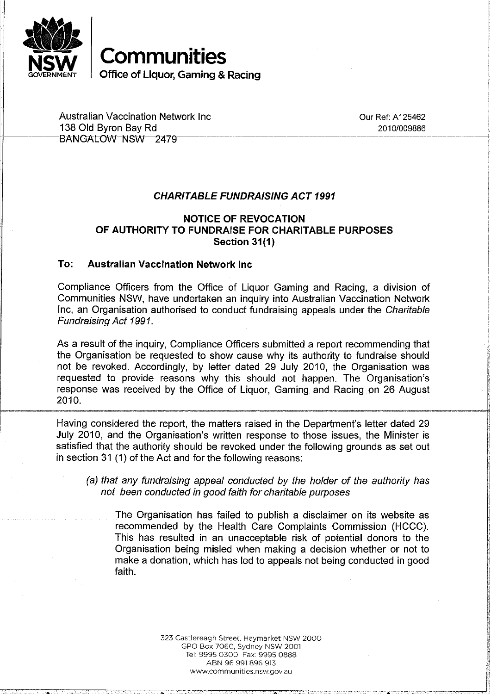

**Communities Office of Liquor, Gaming & Racing** 

Australian Vaccination Network Inc<br>138 Old Byron Bay Rd<br>2010/009886 2010/009886 138 Old Byron Bay Rd *20101009886* . - ----------------- ----------------------------------- ------------.

## *CHARITABLE FUNDRAISING ACT 1991*

## **NOTICE OF REVOCATION OF AUTHORITY TO FUNDRAISE FOR CHARITABLE PURPOSES Section 31(1)**

## **To: Australian Vaccination Network Inc**

Compliance Officers from the Office of Liquor Gaming and Racing, a division of Communities NSW, have undertaken an inquiry into Australian Vaccination Network Inc, an Organisation authorised to conduct fundraising appeals under the *Charitable Fundraising Act 1991.* 

As a result of the inquiry, Compliance Officers submitted a report recommending that the Organisation be requested to show cause why its authority to fundraise should not be revoked. Accordingly, by letter dated 29 July 2010, the Organisation was requested to provide reasons why this should not happen. The Organisation's response was received by the Office of Liquor, Gaming and Racing on 26 August 2010.

Having considered the report, the matters raised in the Department's letter dated 29 July 2010, and the Organisation's written response to those issues, the Minister is satisfied that the authority should be revoked under the following grounds as set out in section 31 (1) of the Act and for the following reasons:

*(a) that any fundraising appeal conducted by the holder* of *the authority has not been conducted in good faith for charitable purposes* 

The Organisation has failed to publish a disclaimer on its website as recommended by the Health Care Complaints Commission (HCCC). This has resulted in an unacceptable risk of potential donors to the Organisation being misled when making a decision whether or not to make a donation, which has led to appeals not being conducted in good faith.

> 323 Castlereagh Street. Haymarket NSW 2000 GPO Box 7060. Sydney NSW 2001 Tel: 9995 0300 Fax: 9995 0888 ABN 96 991 896 913 www.communities.nsw.gov.au